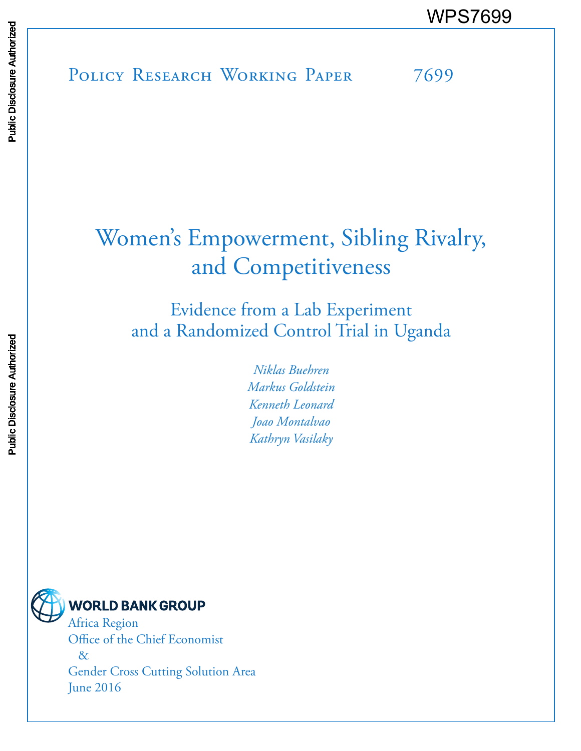POLICY RESEARCH WORKING PAPER 7699 WPS7699<br>
Manuscript Disclosure Authorized Books<br>
Band<br>Band<br>Band<br>
Band<br>
Band<br>
Band<br>
Band<br>
Band<br>
Band<br>
Band<br>
Band<br>
Band<br>
Band<br>
Band<br>
Band<br>
Band<br>
Band<br>
Band<br>
Band<br>
Band<br>
Band<br>
Band<br>
Band<br>
Band<br>
Band<br>
Band<br>
Band<br>
Band<br>
Band<br>
B

# Women 's Empowerment, Sibling Rivalry, and Competitiveness

Evidence from a Lab Experiment and a Randomized Control Trial in Uganda

> *Niklas Buehren Markus Goldstein Kenneth Leonard Joao Montalvao Kathryn Vasilaky*

**WORLD BANK GROUP** Africa Region Office of the Chief Economist

> & Gender Cross Cutting Solution Area June 2016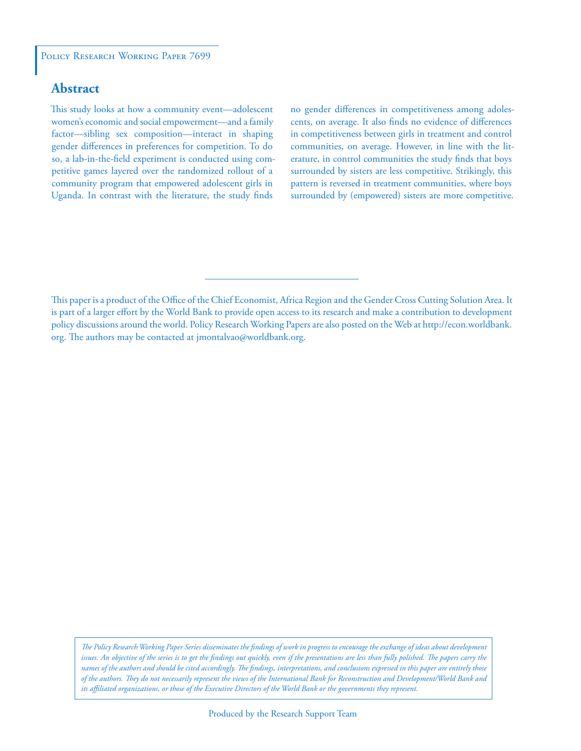### **Abstract**

This study looks at how a community event—adolescent women's economic and social empowerment—and a family factor—sibling sex composition—interact in shaping gender differences in preferences for competition. To do so, a lab-in-the-field experiment is conducted using competitive games layered over the randomized rollout of a community program that empowered adolescent girls in Uganda. In contrast with the literature, the study finds

no gender differences in competitiveness among adolescents, on average. It also finds no evidence of differences in competitiveness between girls in treatment and control communities, on average. However, in line with the literature, in control communities the study finds that boys surrounded by sisters are less competitive. Strikingly, this pattern is reversed in treatment communities, where boys surrounded by (empowered) sisters are more competitive.

This paper is a product of the Office of the Chief Economist, Africa Region and the Gender Cross Cutting Solution Area. It is part of a larger effort by the World Bank to provide open access to its research and make a contribution to development policy discussions around the world. Policy Research Working Papers are also posted on the Web at http://econ.worldbank. org. The authors may be contacted at jmontalvao@worldbank.org.

*The Policy Research Working Paper Series disseminates the findings of work in progress to encourage the exchange of ideas about development*  issues. An objective of the series is to get the findings out quickly, even if the presentations are less than fully polished. The papers carry the *names of the authors and should be cited accordingly. The findings, interpretations, and conclusions expressed in this paper are entirely those of the authors. They do not necessarily represent the views of the International Bank for Reconstruction and Development/World Bank and its affiliated organizations, or those of the Executive Directors of the World Bank or the governments they represent.*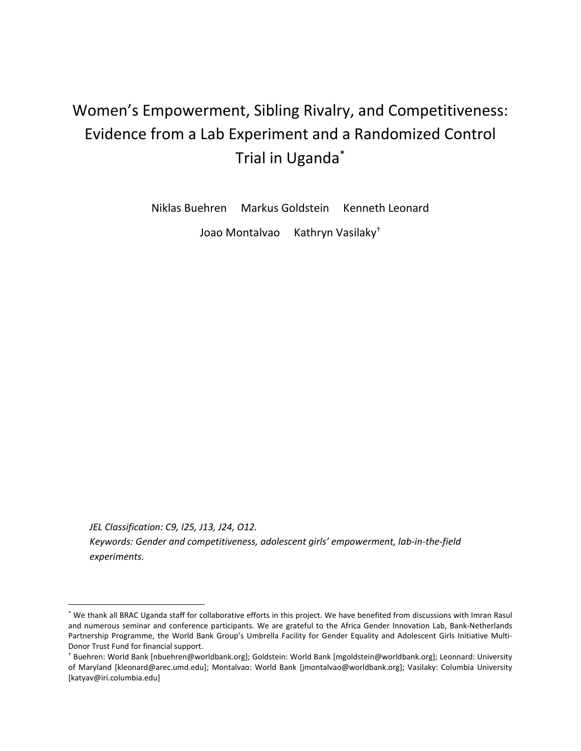# Women's Empowerment, Sibling Rivalry, and Competitiveness: Evidence from a Lab Experiment and a Randomized Control Trial in Uganda\*

Niklas Buehren Markus Goldstein Kenneth Leonard

Joao Montalvao Kathryn Vasilaky<sup>+</sup>

*JEL Classification: C9, I25, J13, J24, O12. Keywords: Gender and competitiveness, adolescent girls' empowerment, lab‐in‐the‐field experiments.*

<sup>\*</sup> We thank all BRAC Uganda staff for collaborative efforts in this project. We have benefited from discussions with Imran Rasul and numerous seminar and conference participants. We are grateful to the Africa Gender Innovation Lab, Bank‐Netherlands Partnership Programme, the World Bank Group's Umbrella Facility for Gender Equality and Adolescent Girls Initiative Multi‐ Donor Trust Fund for financial support.

<sup>†</sup> Buehren: World Bank [nbuehren@worldbank.org]; Goldstein: World Bank [mgoldstein@worldbank.org]; Leonnard: University of Maryland [kleonard@arec.umd.edu]; Montalvao: World Bank [jmontalvao@worldbank.org]; Vasilaky: Columbia University [katyav@iri.columbia.edu]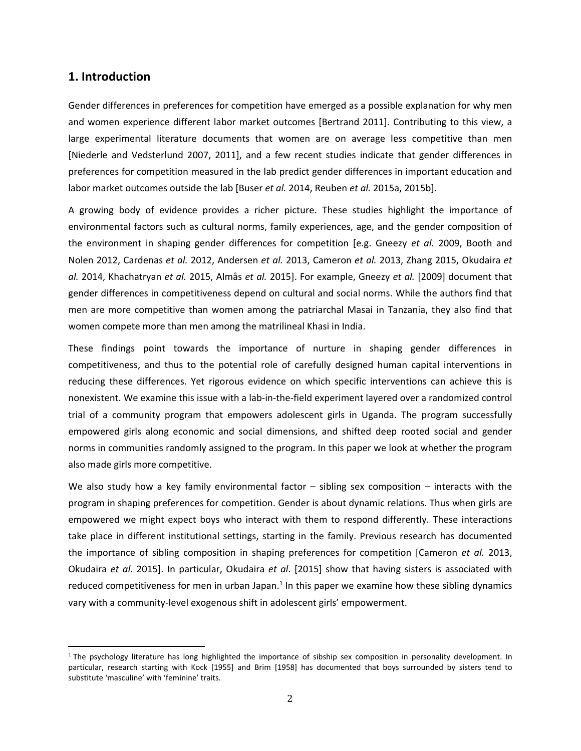#### **1. Introduction**

 

Gender differences in preferences for competition have emerged as a possible explanation for why men and women experience different labor market outcomes [Bertrand 2011]. Contributing to this view, a large experimental literature documents that women are on average less competitive than men [Niederle and Vedsterlund 2007, 2011], and a few recent studies indicate that gender differences in preferences for competition measured in the lab predict gender differences in important education and labor market outcomes outside the lab [Buser *et al.* 2014, Reuben *et al.* 2015a, 2015b].

A growing body of evidence provides a richer picture. These studies highlight the importance of environmental factors such as cultural norms, family experiences, age, and the gender composition of the environment in shaping gender differences for competition [e.g. Gneezy *et al.* 2009, Booth and Nolen 2012, Cardenas *et al.* 2012, Andersen *et al.* 2013, Cameron *et al.* 2013, Zhang 2015, Okudaira *et al.* 2014, Khachatryan *et al.* 2015, Almås *et al.* 2015]. For example, Gneezy *et al.* [2009] document that gender differences in competitiveness depend on cultural and social norms. While the authors find that men are more competitive than women among the patriarchal Masai in Tanzania, they also find that women compete more than men among the matrilineal Khasi in India.

These findings point towards the importance of nurture in shaping gender differences in competitiveness, and thus to the potential role of carefully designed human capital interventions in reducing these differences. Yet rigorous evidence on which specific interventions can achieve this is nonexistent. We examine this issue with a lab‐in‐the‐field experiment layered over a randomized control trial of a community program that empowers adolescent girls in Uganda. The program successfully empowered girls along economic and social dimensions, and shifted deep rooted social and gender norms in communities randomly assigned to the program. In this paper we look at whether the program also made girls more competitive.

We also study how a key family environmental factor  $-$  sibling sex composition  $-$  interacts with the program in shaping preferences for competition. Gender is about dynamic relations. Thus when girls are empowered we might expect boys who interact with them to respond differently. These interactions take place in different institutional settings, starting in the family. Previous research has documented the importance of sibling composition in shaping preferences for competition [Cameron *et al.* 2013, Okudaira *et al*. 2015]. In particular, Okudaira *et al*. [2015] show that having sisters is associated with reduced competitiveness for men in urban Japan.<sup>1</sup> In this paper we examine how these sibling dynamics vary with a community‐level exogenous shift in adolescent girls' empowerment.

<sup>&</sup>lt;sup>1</sup> The psychology literature has long highlighted the importance of sibship sex composition in personality development. In particular, research starting with Kock [1955] and Brim [1958] has documented that boys surrounded by sisters tend to substitute 'masculine' with 'feminine' traits.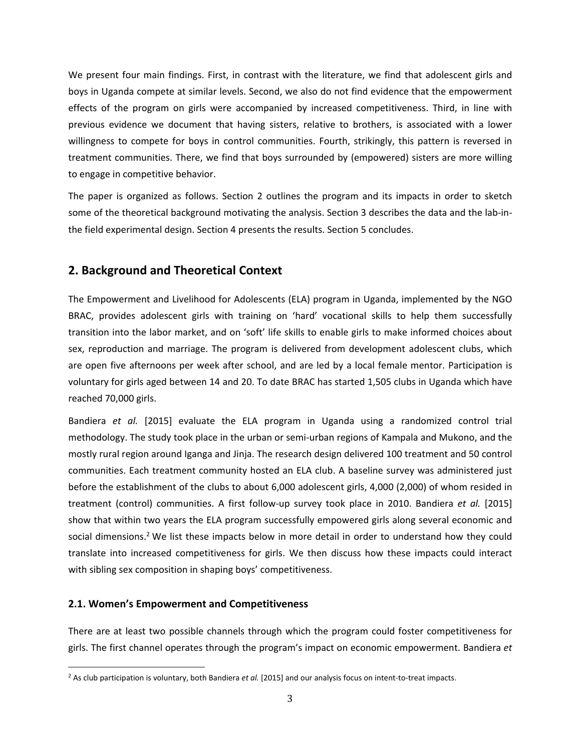We present four main findings. First, in contrast with the literature, we find that adolescent girls and boys in Uganda compete at similar levels. Second, we also do not find evidence that the empowerment effects of the program on girls were accompanied by increased competitiveness. Third, in line with previous evidence we document that having sisters, relative to brothers, is associated with a lower willingness to compete for boys in control communities. Fourth, strikingly, this pattern is reversed in treatment communities. There, we find that boys surrounded by (empowered) sisters are more willing to engage in competitive behavior.

The paper is organized as follows. Section 2 outlines the program and its impacts in order to sketch some of the theoretical background motivating the analysis. Section 3 describes the data and the lab-inthe field experimental design. Section 4 presents the results. Section 5 concludes.

## **2. Background and Theoretical Context**

The Empowerment and Livelihood for Adolescents (ELA) program in Uganda, implemented by the NGO BRAC, provides adolescent girls with training on 'hard' vocational skills to help them successfully transition into the labor market, and on 'soft' life skills to enable girls to make informed choices about sex, reproduction and marriage. The program is delivered from development adolescent clubs, which are open five afternoons per week after school, and are led by a local female mentor. Participation is voluntary for girls aged between 14 and 20. To date BRAC has started 1,505 clubs in Uganda which have reached 70,000 girls.

Bandiera *et al.* [2015] evaluate the ELA program in Uganda using a randomized control trial methodology. The study took place in the urban or semi‐urban regions of Kampala and Mukono, and the mostly rural region around Iganga and Jinja. The research design delivered 100 treatment and 50 control communities. Each treatment community hosted an ELA club. A baseline survey was administered just before the establishment of the clubs to about 6,000 adolescent girls, 4,000 (2,000) of whom resided in treatment (control) communities. A first follow‐up survey took place in 2010. Bandiera *et al.* [2015] show that within two years the ELA program successfully empowered girls along several economic and social dimensions.<sup>2</sup> We list these impacts below in more detail in order to understand how they could translate into increased competitiveness for girls. We then discuss how these impacts could interact with sibling sex composition in shaping boys' competitiveness.

#### **2.1. Women's Empowerment and Competitiveness**

 

There are at least two possible channels through which the program could foster competitiveness for girls. The first channel operates through the program's impact on economic empowerment. Bandiera *et*

<sup>2</sup> As club participation is voluntary, both Bandiera *et al.* [2015] and our analysis focus on intent‐to‐treat impacts.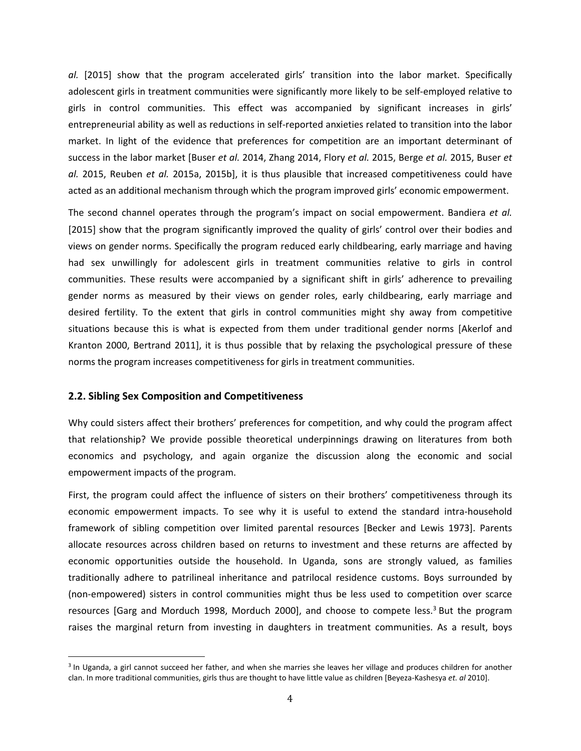*al.* [2015] show that the program accelerated girls' transition into the labor market. Specifically adolescent girls in treatment communities were significantly more likely to be self-employed relative to girls in control communities. This effect was accompanied by significant increases in girls' entrepreneurial ability as well as reductions in self‐reported anxieties related to transition into the labor market. In light of the evidence that preferences for competition are an important determinant of success in the labor market [Buser *et al.* 2014, Zhang 2014, Flory *et al.* 2015, Berge *et al.* 2015, Buser *et al.* 2015, Reuben *et al.* 2015a, 2015b], it is thus plausible that increased competitiveness could have acted as an additional mechanism through which the program improved girls' economic empowerment.

The second channel operates through the program's impact on social empowerment. Bandiera *et al.* [2015] show that the program significantly improved the quality of girls' control over their bodies and views on gender norms. Specifically the program reduced early childbearing, early marriage and having had sex unwillingly for adolescent girls in treatment communities relative to girls in control communities. These results were accompanied by a significant shift in girls' adherence to prevailing gender norms as measured by their views on gender roles, early childbearing, early marriage and desired fertility. To the extent that girls in control communities might shy away from competitive situations because this is what is expected from them under traditional gender norms [Akerlof and Kranton 2000, Bertrand 2011], it is thus possible that by relaxing the psychological pressure of these norms the program increases competitiveness for girls in treatment communities.

#### **2.2. Sibling Sex Composition and Competitiveness**

 

Why could sisters affect their brothers' preferences for competition, and why could the program affect that relationship? We provide possible theoretical underpinnings drawing on literatures from both economics and psychology, and again organize the discussion along the economic and social empowerment impacts of the program.

First, the program could affect the influence of sisters on their brothers' competitiveness through its economic empowerment impacts. To see why it is useful to extend the standard intra-household framework of sibling competition over limited parental resources [Becker and Lewis 1973]. Parents allocate resources across children based on returns to investment and these returns are affected by economic opportunities outside the household. In Uganda, sons are strongly valued, as families traditionally adhere to patrilineal inheritance and patrilocal residence customs. Boys surrounded by (non‐empowered) sisters in control communities might thus be less used to competition over scarce resources [Garg and Morduch 1998, Morduch 2000], and choose to compete less.<sup>3</sup> But the program raises the marginal return from investing in daughters in treatment communities. As a result, boys

<sup>&</sup>lt;sup>3</sup> In Uganda, a girl cannot succeed her father, and when she marries she leaves her village and produces children for another clan. In more traditional communities, girls thus are thought to have little value as children [Beyeza‐Kashesya *et. al* 2010].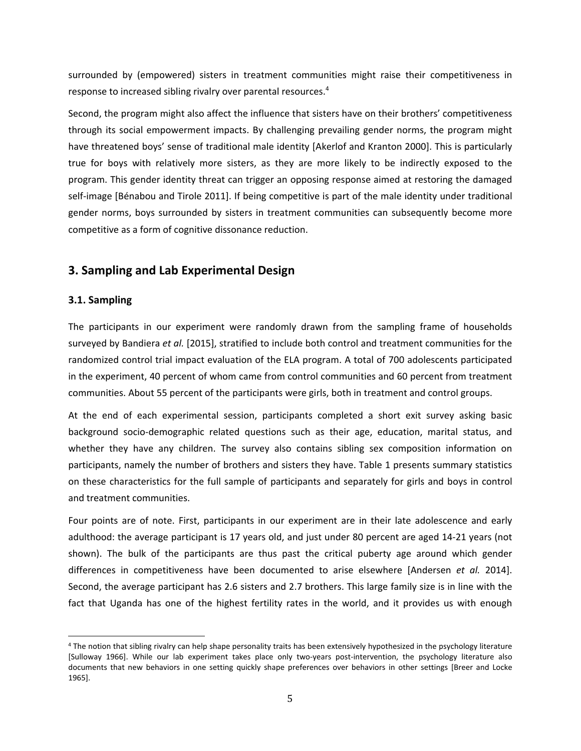surrounded by (empowered) sisters in treatment communities might raise their competitiveness in response to increased sibling rivalry over parental resources.<sup>4</sup>

Second, the program might also affect the influence that sisters have on their brothers' competitiveness through its social empowerment impacts. By challenging prevailing gender norms, the program might have threatened boys' sense of traditional male identity [Akerlof and Kranton 2000]. This is particularly true for boys with relatively more sisters, as they are more likely to be indirectly exposed to the program. This gender identity threat can trigger an opposing response aimed at restoring the damaged self-image [Bénabou and Tirole 2011]. If being competitive is part of the male identity under traditional gender norms, boys surrounded by sisters in treatment communities can subsequently become more competitive as a form of cognitive dissonance reduction.

# **3. Sampling and Lab Experimental Design**

#### **3.1. Sampling**

 

The participants in our experiment were randomly drawn from the sampling frame of households surveyed by Bandiera *et al.* [2015], stratified to include both control and treatment communities for the randomized control trial impact evaluation of the ELA program. A total of 700 adolescents participated in the experiment, 40 percent of whom came from control communities and 60 percent from treatment communities. About 55 percent of the participants were girls, both in treatment and control groups.

At the end of each experimental session, participants completed a short exit survey asking basic background socio‐demographic related questions such as their age, education, marital status, and whether they have any children. The survey also contains sibling sex composition information on participants, namely the number of brothers and sisters they have. Table 1 presents summary statistics on these characteristics for the full sample of participants and separately for girls and boys in control and treatment communities.

Four points are of note. First, participants in our experiment are in their late adolescence and early adulthood: the average participant is 17 years old, and just under 80 percent are aged 14‐21 years (not shown). The bulk of the participants are thus past the critical puberty age around which gender differences in competitiveness have been documented to arise elsewhere [Andersen *et al.* 2014]. Second, the average participant has 2.6 sisters and 2.7 brothers. This large family size is in line with the fact that Uganda has one of the highest fertility rates in the world, and it provides us with enough

<sup>&</sup>lt;sup>4</sup> The notion that sibling rivalry can help shape personality traits has been extensively hypothesized in the psychology literature [Sulloway 1966]. While our lab experiment takes place only two‐years post‐intervention, the psychology literature also documents that new behaviors in one setting quickly shape preferences over behaviors in other settings [Breer and Locke 1965].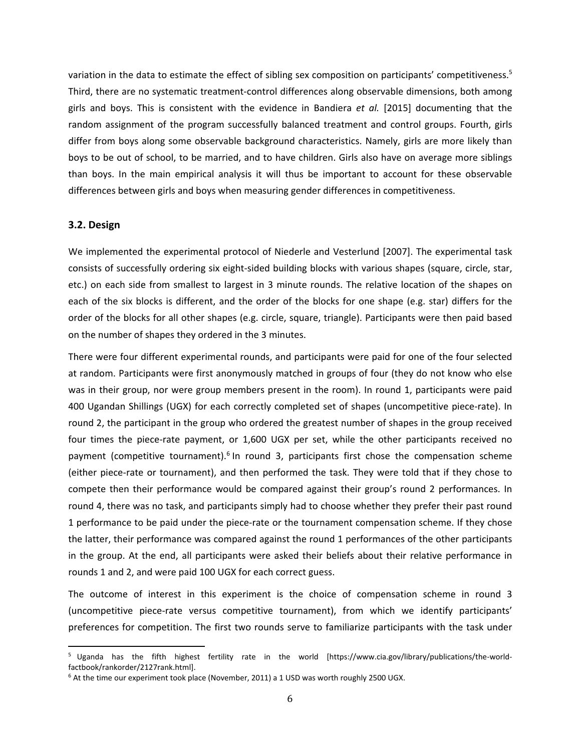variation in the data to estimate the effect of sibling sex composition on participants' competitiveness.<sup>5</sup> Third, there are no systematic treatment‐control differences along observable dimensions, both among girls and boys. This is consistent with the evidence in Bandiera *et al.* [2015] documenting that the random assignment of the program successfully balanced treatment and control groups. Fourth, girls differ from boys along some observable background characteristics. Namely, girls are more likely than boys to be out of school, to be married, and to have children. Girls also have on average more siblings than boys. In the main empirical analysis it will thus be important to account for these observable differences between girls and boys when measuring gender differences in competitiveness.

#### **3.2. Design**

We implemented the experimental protocol of Niederle and Vesterlund [2007]. The experimental task consists of successfully ordering six eight‐sided building blocks with various shapes (square, circle, star, etc.) on each side from smallest to largest in 3 minute rounds. The relative location of the shapes on each of the six blocks is different, and the order of the blocks for one shape (e.g. star) differs for the order of the blocks for all other shapes (e.g. circle, square, triangle). Participants were then paid based on the number of shapes they ordered in the 3 minutes.

There were four different experimental rounds, and participants were paid for one of the four selected at random. Participants were first anonymously matched in groups of four (they do not know who else was in their group, nor were group members present in the room). In round 1, participants were paid 400 Ugandan Shillings (UGX) for each correctly completed set of shapes (uncompetitive piece-rate). In round 2, the participant in the group who ordered the greatest number of shapes in the group received four times the piece-rate payment, or 1,600 UGX per set, while the other participants received no payment (competitive tournament).<sup>6</sup> In round 3, participants first chose the compensation scheme (either piece‐rate or tournament), and then performed the task. They were told that if they chose to compete then their performance would be compared against their group's round 2 performances. In round 4, there was no task, and participants simply had to choose whether they prefer their past round 1 performance to be paid under the piece-rate or the tournament compensation scheme. If they chose the latter, their performance was compared against the round 1 performances of the other participants in the group. At the end, all participants were asked their beliefs about their relative performance in rounds 1 and 2, and were paid 100 UGX for each correct guess.

The outcome of interest in this experiment is the choice of compensation scheme in round 3 (uncompetitive piece‐rate versus competitive tournament), from which we identify participants' preferences for competition. The first two rounds serve to familiarize participants with the task under

<sup>5</sup> Uganda has the fifth highest fertility rate in the world [https://www.cia.gov/library/publications/the‐world‐ factbook/rankorder/2127rank.html].

<sup>6</sup> At the time our experiment took place (November, 2011) a 1 USD was worth roughly 2500 UGX.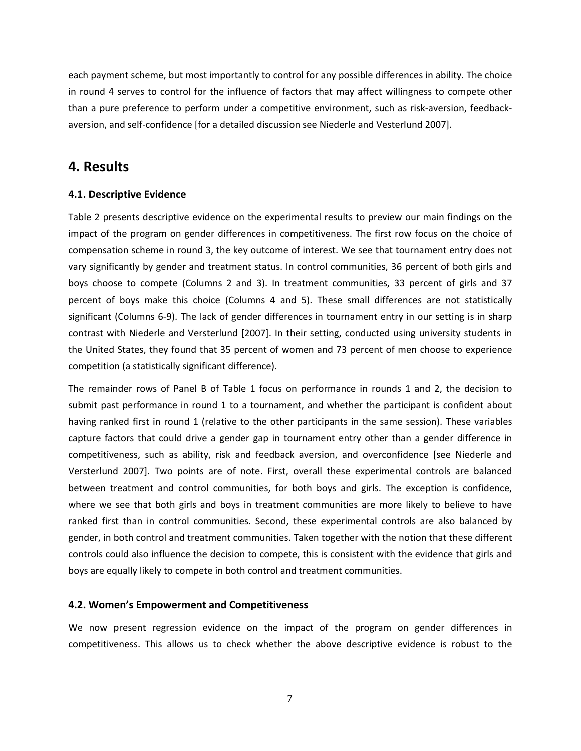each payment scheme, but most importantly to control for any possible differences in ability. The choice in round 4 serves to control for the influence of factors that may affect willingness to compete other than a pure preference to perform under a competitive environment, such as risk‐aversion, feedback‐ aversion, and self‐confidence [for a detailed discussion see Niederle and Vesterlund 2007].

#### **4. Results**

#### **4.1. Descriptive Evidence**

Table 2 presents descriptive evidence on the experimental results to preview our main findings on the impact of the program on gender differences in competitiveness. The first row focus on the choice of compensation scheme in round 3, the key outcome of interest. We see that tournament entry does not vary significantly by gender and treatment status. In control communities, 36 percent of both girls and boys choose to compete (Columns 2 and 3). In treatment communities, 33 percent of girls and 37 percent of boys make this choice (Columns 4 and 5). These small differences are not statistically significant (Columns 6-9). The lack of gender differences in tournament entry in our setting is in sharp contrast with Niederle and Versterlund [2007]. In their setting, conducted using university students in the United States, they found that 35 percent of women and 73 percent of men choose to experience competition (a statistically significant difference).

The remainder rows of Panel B of Table 1 focus on performance in rounds 1 and 2, the decision to submit past performance in round 1 to a tournament, and whether the participant is confident about having ranked first in round 1 (relative to the other participants in the same session). These variables capture factors that could drive a gender gap in tournament entry other than a gender difference in competitiveness, such as ability, risk and feedback aversion, and overconfidence [see Niederle and Versterlund 2007]. Two points are of note. First, overall these experimental controls are balanced between treatment and control communities, for both boys and girls. The exception is confidence, where we see that both girls and boys in treatment communities are more likely to believe to have ranked first than in control communities. Second, these experimental controls are also balanced by gender, in both control and treatment communities. Taken together with the notion that these different controls could also influence the decision to compete, this is consistent with the evidence that girls and boys are equally likely to compete in both control and treatment communities.

#### **4.2. Women's Empowerment and Competitiveness**

We now present regression evidence on the impact of the program on gender differences in competitiveness. This allows us to check whether the above descriptive evidence is robust to the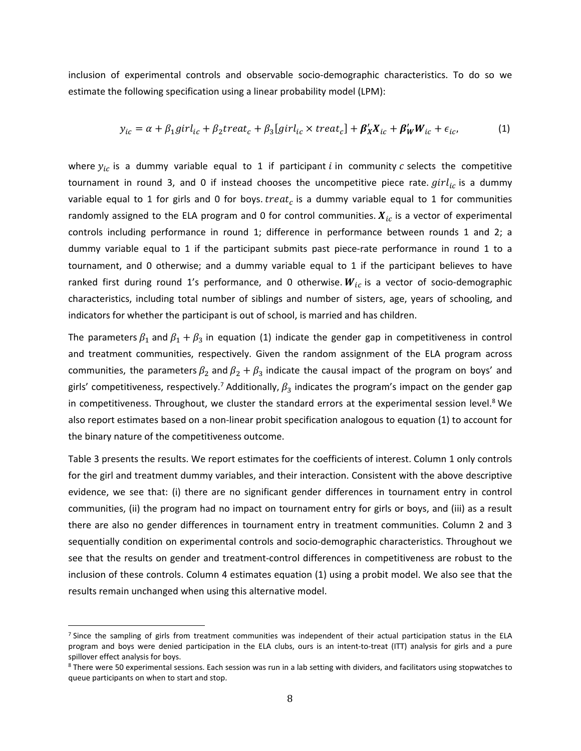inclusion of experimental controls and observable socio‐demographic characteristics. To do so we estimate the following specification using a linear probability model (LPM):

$$
y_{ic} = \alpha + \beta_1 girl_{ic} + \beta_2 treat_c + \beta_3 [girl_{ic} \times treat_c] + \beta'_X X_{ic} + \beta'_W W_{ic} + \epsilon_{ic},
$$
 (1)

where  $y_{ic}$  is a dummy variable equal to 1 if participant *i* in community *c* selects the competitive tournament in round 3, and 0 if instead chooses the uncompetitive piece rate.  $girl_{ic}$  is a dummy variable equal to 1 for girls and 0 for boys. treat<sub>c</sub> is a dummy variable equal to 1 for communities randomly assigned to the ELA program and 0 for control communities.  $X_{ic}$  is a vector of experimental controls including performance in round 1; difference in performance between rounds 1 and 2; a dummy variable equal to 1 if the participant submits past piece-rate performance in round 1 to a tournament, and 0 otherwise; and a dummy variable equal to 1 if the participant believes to have ranked first during round 1's performance, and 0 otherwise.  $W_{ic}$  is a vector of socio-demographic characteristics, including total number of siblings and number of sisters, age, years of schooling, and indicators for whether the participant is out of school, is married and has children.

The parameters  $\beta_1$  and  $\beta_1 + \beta_3$  in equation (1) indicate the gender gap in competitiveness in control and treatment communities, respectively. Given the random assignment of the ELA program across communities, the parameters  $\beta_2$  and  $\beta_2 + \beta_3$  indicate the causal impact of the program on boys' and girls' competitiveness, respectively.<sup>7</sup> Additionally,  $\beta_3$  indicates the program's impact on the gender gap in competitiveness. Throughout, we cluster the standard errors at the experimental session level.<sup>8</sup> We also report estimates based on a non‐linear probit specification analogous to equation (1) to account for the binary nature of the competitiveness outcome.

Table 3 presents the results. We report estimates for the coefficients of interest. Column 1 only controls for the girl and treatment dummy variables, and their interaction. Consistent with the above descriptive evidence, we see that: (i) there are no significant gender differences in tournament entry in control communities, (ii) the program had no impact on tournament entry for girls or boys, and (iii) as a result there are also no gender differences in tournament entry in treatment communities. Column 2 and 3 sequentially condition on experimental controls and socio-demographic characteristics. Throughout we see that the results on gender and treatment-control differences in competitiveness are robust to the inclusion of these controls. Column 4 estimates equation (1) using a probit model. We also see that the results remain unchanged when using this alternative model.

 $<sup>7</sup>$  Since the sampling of girls from treatment communities was independent of their actual participation status in the ELA</sup> program and boys were denied participation in the ELA clubs, ours is an intent-to-treat (ITT) analysis for girls and a pure spillover effect analysis for boys.

<sup>8</sup> There were 50 experimental sessions. Each session was run in a lab setting with dividers, and facilitators using stopwatches to queue participants on when to start and stop.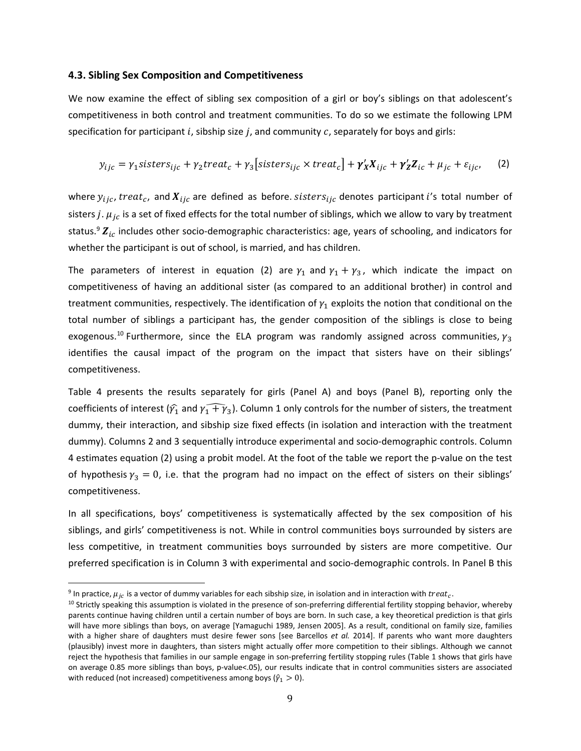#### **4.3. Sibling Sex Composition and Competitiveness**

We now examine the effect of sibling sex composition of a girl or boy's siblings on that adolescent's competitiveness in both control and treatment communities. To do so we estimate the following LPM specification for participant  $i$ , sibship size  $j$ , and community  $c$ , separately for boys and girls:

$$
y_{ijc} = \gamma_1 \text{sisters}_{ijc} + \gamma_2 \text{treat}_c + \gamma_3 \left[ \text{sisters}_{ijc} \times \text{treat}_c \right] + \gamma'_X X_{ijc} + \gamma'_Z Z_{ic} + \mu_{jc} + \varepsilon_{ijc}, \tag{2}
$$

where  $y_{ijc}$ , treat<sub>c</sub>, and  $X_{ijc}$  are defined as before. sisters<sub>ijc</sub> denotes participant i's total number of sisters j.  $\mu_{jc}$  is a set of fixed effects for the total number of siblings, which we allow to vary by treatment status.<sup>9</sup>  $\mathbf{Z}_{ic}$  includes other socio-demographic characteristics: age, years of schooling, and indicators for whether the participant is out of school, is married, and has children.

The parameters of interest in equation (2) are  $\gamma_1$  and  $\gamma_1 + \gamma_3$ , which indicate the impact on competitiveness of having an additional sister (as compared to an additional brother) in control and treatment communities, respectively. The identification of  $y_1$  exploits the notion that conditional on the total number of siblings a participant has, the gender composition of the siblings is close to being exogenous.<sup>10</sup> Furthermore, since the ELA program was randomly assigned across communities,  $\gamma_3$ identifies the causal impact of the program on the impact that sisters have on their siblings' competitiveness.

Table 4 presents the results separately for girls (Panel A) and boys (Panel B), reporting only the coefficients of interest ( $\widehat{\gamma_1}$  and  $\widehat{\gamma_1+\gamma_3}$ ). Column 1 only controls for the number of sisters, the treatment dummy, their interaction, and sibship size fixed effects (in isolation and interaction with the treatment dummy). Columns 2 and 3 sequentially introduce experimental and socio‐demographic controls. Column 4 estimates equation (2) using a probit model. At the foot of the table we report the p-value on the test of hypothesis  $\gamma_3 = 0$ , i.e. that the program had no impact on the effect of sisters on their siblings' competitiveness.

In all specifications, boys' competitiveness is systematically affected by the sex composition of his siblings, and girls' competitiveness is not. While in control communities boys surrounded by sisters are less competitive, in treatment communities boys surrounded by sisters are more competitive. Our preferred specification is in Column 3 with experimental and socio‐demographic controls. In Panel B this

<sup>&</sup>lt;sup>9</sup> In practice,  $\mu_{ic}$  is a vector of dummy variables for each sibship size, in isolation and in interaction with treat<sub>c</sub>.

<sup>&</sup>lt;sup>10</sup> Strictly speaking this assumption is violated in the presence of son-preferring differential fertility stopping behavior, whereby parents continue having children until a certain number of boys are born. In such case, a key theoretical prediction is that girls will have more siblings than boys, on average [Yamaguchi 1989, Jensen 2005]. As a result, conditional on family size, families with a higher share of daughters must desire fewer sons [see Barcellos *et al.* 2014]. If parents who want more daughters (plausibly) invest more in daughters, than sisters might actually offer more competition to their siblings. Although we cannot reject the hypothesis that families in our sample engage in son‐preferring fertility stopping rules (Table 1 shows that girls have on average 0.85 more siblings than boys, p‐value<.05), our results indicate that in control communities sisters are associated with reduced (not increased) competitiveness among boys ( $\hat{\gamma}_1 > 0$ ).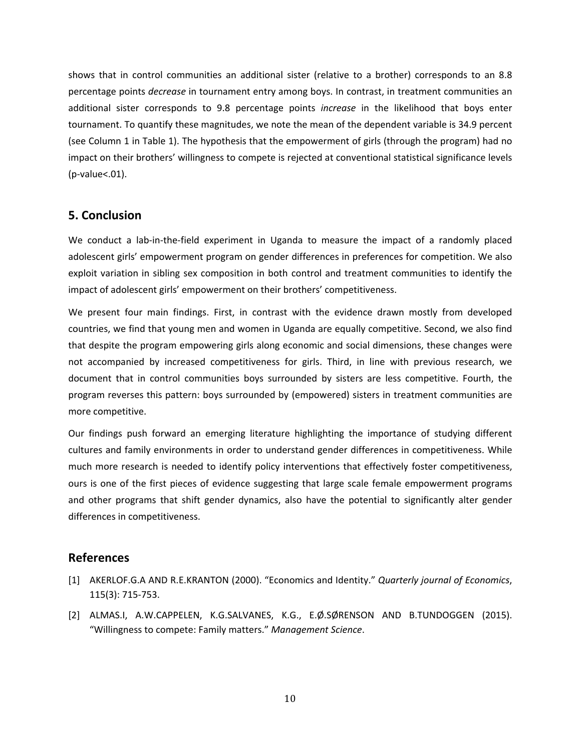shows that in control communities an additional sister (relative to a brother) corresponds to an 8.8 percentage points *decrease* in tournament entry among boys. In contrast, in treatment communities an additional sister corresponds to 9.8 percentage points *increase* in the likelihood that boys enter tournament. To quantify these magnitudes, we note the mean of the dependent variable is 34.9 percent (see Column 1 in Table 1). The hypothesis that the empowerment of girls (through the program) had no impact on their brothers' willingness to compete is rejected at conventional statistical significance levels (p‐value<.01).

#### **5. Conclusion**

We conduct a lab-in-the-field experiment in Uganda to measure the impact of a randomly placed adolescent girls' empowerment program on gender differences in preferences for competition. We also exploit variation in sibling sex composition in both control and treatment communities to identify the impact of adolescent girls' empowerment on their brothers' competitiveness.

We present four main findings. First, in contrast with the evidence drawn mostly from developed countries, we find that young men and women in Uganda are equally competitive. Second, we also find that despite the program empowering girls along economic and social dimensions, these changes were not accompanied by increased competitiveness for girls. Third, in line with previous research, we document that in control communities boys surrounded by sisters are less competitive. Fourth, the program reverses this pattern: boys surrounded by (empowered) sisters in treatment communities are more competitive.

Our findings push forward an emerging literature highlighting the importance of studying different cultures and family environments in order to understand gender differences in competitiveness. While much more research is needed to identify policy interventions that effectively foster competitiveness, ours is one of the first pieces of evidence suggesting that large scale female empowerment programs and other programs that shift gender dynamics, also have the potential to significantly alter gender differences in competitiveness.

#### **References**

- [1] AKERLOF.G.A AND R.E.KRANTON (2000). "Economics and Identity." *Quarterly journal of Economics*, 115(3): 715‐753.
- [2] ALMAS.I, A.W.CAPPELEN, K.G.SALVANES, K.G., E.Ø.SØRENSON AND B.TUNDOGGEN (2015). "Willingness to compete: Family matters." *Management Science*.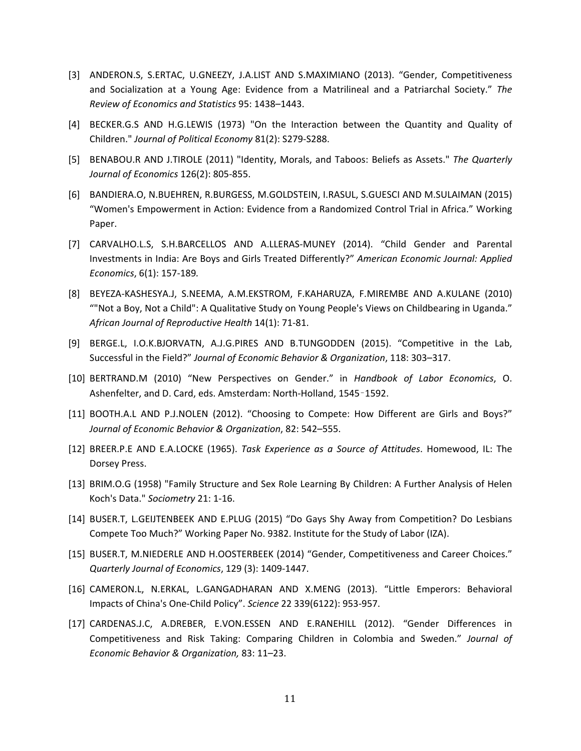- [3] ANDERON.S, S.ERTAC, U.GNEEZY, J.A.LIST AND S.MAXIMIANO (2013). "Gender, Competitiveness and Socialization at a Young Age: Evidence from a Matrilineal and a Patriarchal Society." *The Review of Economics and Statistics* 95: 1438–1443.
- [4] BECKER.G.S AND H.G.LEWIS (1973) "On the Interaction between the Quantity and Quality of Children." *Journal of Political Economy* 81(2): S279‐S288.
- [5] BENABOU.R AND J.TIROLE (2011) "Identity, Morals, and Taboos: Beliefs as Assets." *The Quarterly Journal of Economics* 126(2): 805‐855.
- [6] BANDIERA.O, N.BUEHREN, R.BURGESS, M.GOLDSTEIN, I.RASUL, S.GUESCI AND M.SULAIMAN (2015) "Women's Empowerment in Action: Evidence from a Randomized Control Trial in Africa." Working Paper.
- [7] CARVALHO.L.S, S.H.BARCELLOS AND A.LLERAS‐MUNEY (2014). "Child Gender and Parental Investments in India: Are Boys and Girls Treated Differently?" *American Economic Journal: Applied Economics*, 6(1): 157‐189*.*
- [8] BEYEZA‐KASHESYA.J, S.NEEMA, A.M.EKSTROM, F.KAHARUZA, F.MIREMBE AND A.KULANE (2010) ""Not a Boy, Not a Child": A Qualitative Study on Young People's Views on Childbearing in Uganda." *African Journal of Reproductive Health* 14(1): 71‐81.
- [9] BERGE.L, I.O.K.BJORVATN, A.J.G.PIRES AND B.TUNGODDEN (2015). "Competitive in the Lab, Successful in the Field?" *Journal of Economic Behavior & Organization*, 118: 303–317.
- [10] BERTRAND.M (2010) "New Perspectives on Gender." in *Handbook of Labor Economics*, O. Ashenfelter, and D. Card, eds. Amsterdam: North‐Holland, 1545–1592.
- [11] BOOTH.A.L AND P.J.NOLEN (2012). "Choosing to Compete: How Different are Girls and Boys?" *Journal of Economic Behavior & Organization*, 82: 542–555.
- [12] BREER.P.E AND E.A.LOCKE (1965). *Task Experience as a Source of Attitudes*. Homewood, IL: The Dorsey Press.
- [13] BRIM.O.G (1958) "Family Structure and Sex Role Learning By Children: A Further Analysis of Helen Koch's Data." *Sociometry* 21: 1‐16.
- [14] BUSER.T, L.GEIJTENBEEK AND E.PLUG (2015) "Do Gays Shy Away from Competition? Do Lesbians Compete Too Much?" Working Paper No. 9382. Institute for the Study of Labor (IZA).
- [15] BUSER.T, M.NIEDERLE AND H.OOSTERBEEK (2014) "Gender, Competitiveness and Career Choices." *Quarterly Journal of Economics*, 129 (3): 1409‐1447.
- [16] CAMERON.L, N.ERKAL, L.GANGADHARAN AND X.MENG (2013). "Little Emperors: Behavioral Impacts of China's One‐Child Policy". *Science* 22 339(6122): 953‐957.
- [17] CARDENAS.J.C, A.DREBER, E.VON.ESSEN AND E.RANEHILL (2012). "Gender Differences in Competitiveness and Risk Taking: Comparing Children in Colombia and Sweden." *Journal of Economic Behavior & Organization,* 83: 11–23.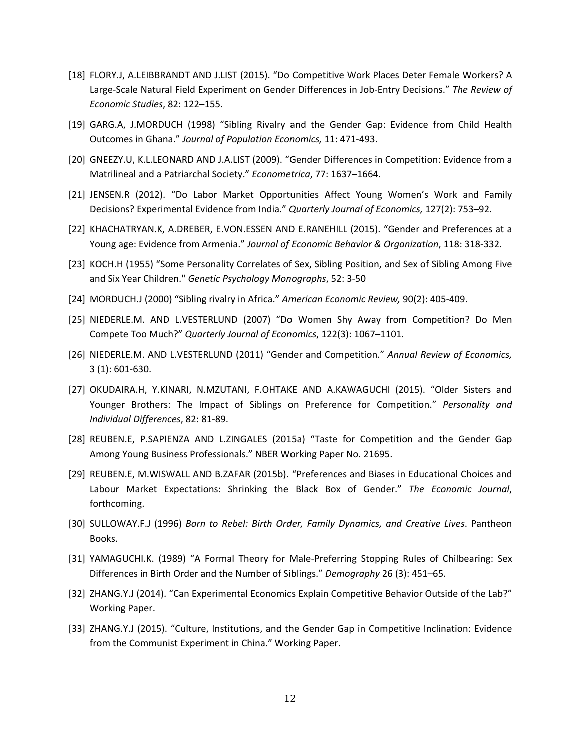- [18] FLORY.J, A.LEIBBRANDT AND J.LIST (2015). "Do Competitive Work Places Deter Female Workers? A Large‐Scale Natural Field Experiment on Gender Differences in Job‐Entry Decisions." *The Review of Economic Studies*, 82: 122–155.
- [19] GARG.A, J.MORDUCH (1998) "Sibling Rivalry and the Gender Gap: Evidence from Child Health Outcomes in Ghana." *Journal of Population Economics,* 11: 471‐493.
- [20] GNEEZY.U, K.L.LEONARD AND J.A.LIST (2009). "Gender Differences in Competition: Evidence from a Matrilineal and a Patriarchal Society." *Econometrica*, 77: 1637–1664.
- [21] JENSEN.R (2012). "Do Labor Market Opportunities Affect Young Women's Work and Family Decisions? Experimental Evidence from India." *Quarterly Journal of Economics,* 127(2): 753–92.
- [22] KHACHATRYAN.K, A.DREBER, E.VON.ESSEN AND E.RANEHILL (2015). "Gender and Preferences at a Young age: Evidence from Armenia." *Journal of Economic Behavior & Organization*, 118: 318‐332.
- [23] KOCH.H (1955) "Some Personality Correlates of Sex, Sibling Position, and Sex of Sibling Among Five and Six Year Children." *Genetic Psychology Monographs*, 52: 3‐50
- [24] MORDUCH.J (2000) "Sibling rivalry in Africa." *American Economic Review,* 90(2): 405‐409.
- [25] NIEDERLE.M. AND L.VESTERLUND (2007) "Do Women Shy Away from Competition? Do Men Compete Too Much?" *Quarterly Journal of Economics*, 122(3): 1067–1101.
- [26] NIEDERLE.M. AND L.VESTERLUND (2011) "Gender and Competition." *Annual Review of Economics,* 3 (1): 601‐630.
- [27] OKUDAIRA.H, Y.KINARI, N.MZUTANI, F.OHTAKE AND A.KAWAGUCHI (2015). "Older Sisters and Younger Brothers: The Impact of Siblings on Preference for Competition." *Personality and Individual Differences*, 82: 81‐89.
- [28] REUBEN.E, P.SAPIENZA AND L.ZINGALES (2015a) "Taste for Competition and the Gender Gap Among Young Business Professionals." NBER Working Paper No. 21695.
- [29] REUBEN.E, M.WISWALL AND B.ZAFAR (2015b). "Preferences and Biases in Educational Choices and Labour Market Expectations: Shrinking the Black Box of Gender." *The Economic Journal*, forthcoming.
- [30] SULLOWAY.F.J (1996) *Born to Rebel: Birth Order, Family Dynamics, and Creative Lives*. Pantheon Books.
- [31] YAMAGUCHI.K. (1989) "A Formal Theory for Male-Preferring Stopping Rules of Chilbearing: Sex Differences in Birth Order and the Number of Siblings." *Demography* 26 (3): 451–65.
- [32] ZHANG.Y.J (2014). "Can Experimental Economics Explain Competitive Behavior Outside of the Lab?" Working Paper.
- [33] ZHANG.Y.J (2015). "Culture, Institutions, and the Gender Gap in Competitive Inclination: Evidence from the Communist Experiment in China." Working Paper.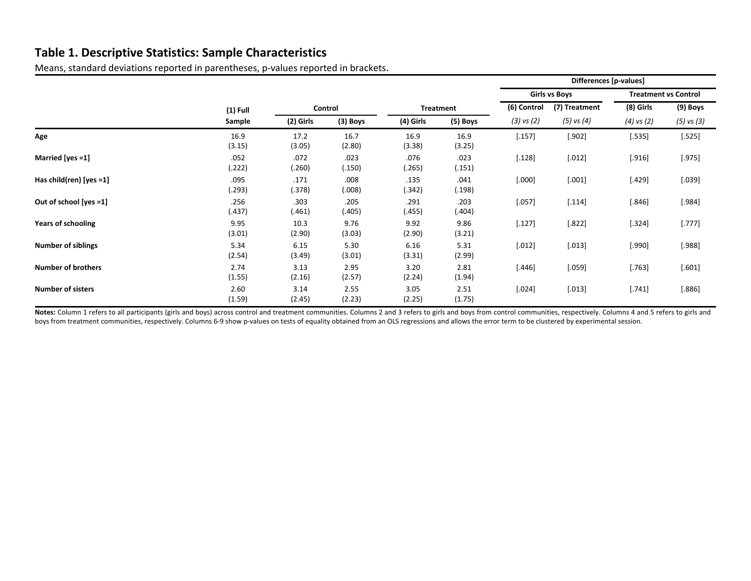## **Table 1. Descriptive Statistics: Sample Characteristics**

Means, standard deviations reported in parentheses, p‐values reported in brackets.

|                            |                |                |                |                  |                |                      | Differences [p-values] |                             |            |
|----------------------------|----------------|----------------|----------------|------------------|----------------|----------------------|------------------------|-----------------------------|------------|
|                            |                |                |                |                  |                | <b>Girls vs Boys</b> |                        | <b>Treatment vs Control</b> |            |
|                            | $(1)$ Full     | Control        |                | <b>Treatment</b> |                | (6) Control          | (7) Treatment          | (8) Girls                   | (9) Boys   |
|                            | Sample         | (2) Girls      | $(3)$ Boys     | (4) Girls        | (5) Boys       | $(3)$ vs $(2)$       | $(5)$ vs $(4)$         | $(4)$ vs $(2)$              | (5) vs (3) |
| Age                        | 16.9<br>(3.15) | 17.2<br>(3.05) | 16.7<br>(2.80) | 16.9<br>(3.38)   | 16.9<br>(3.25) | [.157]               | [.902]                 | [.535]                      | [.525]     |
| Married [yes =1]           | .052<br>(.222) | .072<br>(.260) | .023<br>(.150) | .076<br>(.265)   | .023<br>(.151) | [.128]               | [.012]                 | [.916]                      | [.975]     |
| Has child(ren) [yes $=1$ ] | .095<br>(.293) | .171<br>(.378) | .008<br>(.008) | .135<br>(.342)   | .041<br>(.198) | [.000]               | [.001]                 | [.429]                      | [.039]     |
| Out of school [yes =1]     | .256<br>(.437) | .303<br>(.461) | .205<br>(.405) | .291<br>(.455)   | .203<br>(.404) | [.057]               | [.114]                 | $[.846]$                    | [.984]     |
| <b>Years of schooling</b>  | 9.95<br>(3.01) | 10.3<br>(2.90) | 9.76<br>(3.03) | 9.92<br>(2.90)   | 9.86<br>(3.21) | [.127]               | $[.822]$               | [.324]                      | [.777]     |
| <b>Number of siblings</b>  | 5.34<br>(2.54) | 6.15<br>(3.49) | 5.30<br>(3.01) | 6.16<br>(3.31)   | 5.31<br>(2.99) | [.012]               | [.013]                 | [.990]                      | [.988]     |
| <b>Number of brothers</b>  | 2.74<br>(1.55) | 3.13<br>(2.16) | 2.95<br>(2.57) | 3.20<br>(2.24)   | 2.81<br>(1.94) | $[.446]$             | [.059]                 | [.763]                      | [.601]     |
| <b>Number of sisters</b>   | 2.60<br>(1.59) | 3.14<br>(2.45) | 2.55<br>(2.23) | 3.05<br>(2.25)   | 2.51<br>(1.75) | [.024]               | [.013]                 | [.741]                      | [.886]     |

Notes: Column 1 refers to all participants (girls and boys) across control and treatment communities. Columns 2 and 3 refers to girls and boys from control communities, respectively. Columns 4 and 5 refers to girls and boys from treatment communities, respectively. Columns 6-9 show p-values on tests of equality obtained from an OLS regressions and allows the error term to be clustered by experimental session.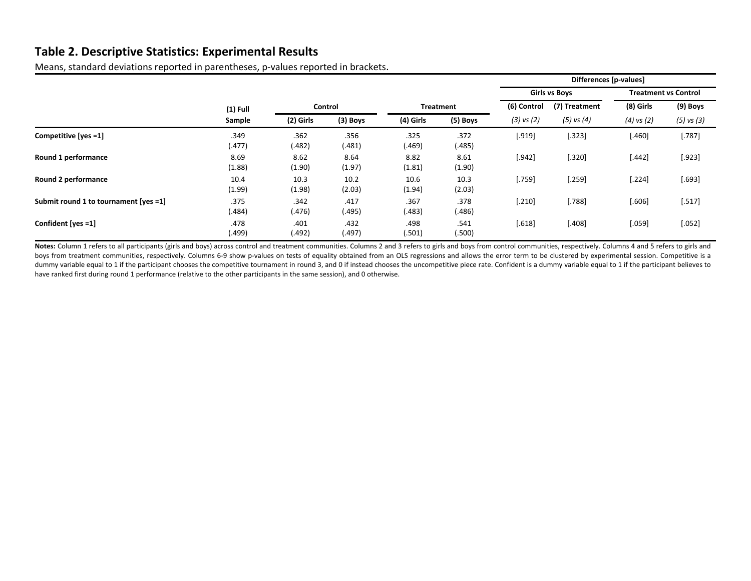## **Table 2. Descriptive Statistics: Experimental Results**

Means, standard deviations reported in parentheses, p‐values reported in brackets.

|                                       |                |                |                |                |                  | Differences [p-values] |                |                             |                |  |
|---------------------------------------|----------------|----------------|----------------|----------------|------------------|------------------------|----------------|-----------------------------|----------------|--|
|                                       |                |                |                |                |                  | <b>Girls vs Boys</b>   |                | <b>Treatment vs Control</b> |                |  |
|                                       | $(1)$ Full     |                | Control        |                | <b>Treatment</b> |                        | (7) Treatment  | (8) Girls                   | (9) Boys       |  |
|                                       | Sample         | (2) Girls      | $(3)$ Boys     | (4) Girls      | (5) Boys         | $(3)$ vs $(2)$         | $(5)$ vs $(4)$ | $(4)$ vs $(2)$              | $(5)$ vs $(3)$ |  |
| Competitive [yes =1]                  | .349<br>(.477) | .362<br>(.482) | .356<br>(.481) | .325<br>(.469) | .372<br>(.485)   | [.919]                 | 323            | $[.460]$                    | [.787]         |  |
| Round 1 performance                   | 8.69<br>(1.88) | 8.62<br>(1.90) | 8.64<br>(1.97) | 8.82<br>(1.81) | 8.61<br>(1.90)   | [.942]                 | 320            | $[.442]$                    | [.923]         |  |
| Round 2 performance                   | 10.4<br>(1.99) | 10.3<br>(1.98) | 10.2<br>(2.03) | 10.6<br>(1.94) | 10.3<br>(2.03)   | [.759]                 | [.259]         | $[.224]$                    | [.693]         |  |
| Submit round 1 to tournament [yes =1] | .375<br>(.484) | .342<br>(.476) | .417<br>(.495) | .367<br>(.483) | .378<br>(.486)   | $[.210]$               | [.788]         | $[.606]$                    | [.517]         |  |
| Confident [yes =1]                    | .478<br>(499.) | .401<br>(.492) | .432<br>(.497) | .498<br>(.501) | .541<br>(.500)   | [.618]                 | [.408]         | $[.059]$                    | [.052]         |  |

Notes: Column 1 refers to all participants (girls and boys) across control and treatment communities. Columns 2 and 3 refers to girls and boys from control communities, respectively. Columns 4 and 5 refers to girls and boys from treatment communities, respectively. Columns 6-9 show p-values on tests of equality obtained from an OLS regressions and allows the error term to be clustered by experimental session. Competitive is a dummy variable equal to 1 if the participant chooses the competitive tournament in round 3, and 0 if instead chooses the uncompetitive piece rate. Confident is a dummy variable equal to 1 if the participant believes to have ranked first during round 1 performance (relative to the other participants in the same session), and 0 otherwise.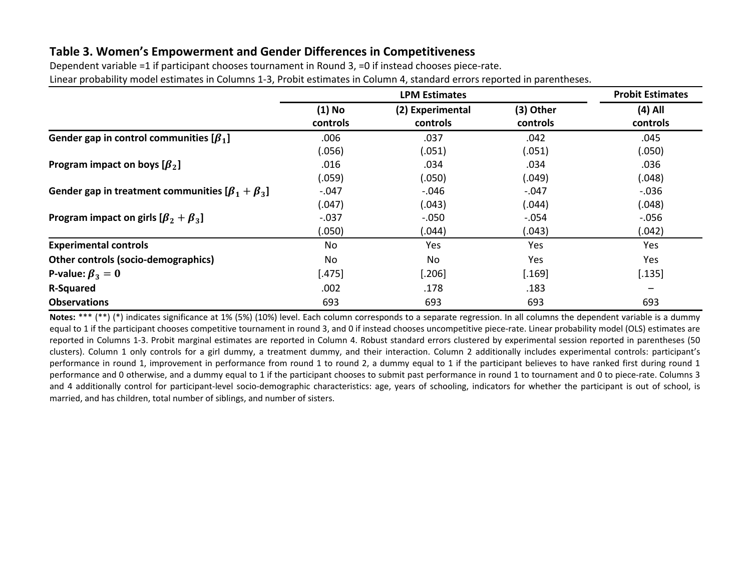# **Table 3. Women's Empowerment and Gender Differences in Competitiveness**

| Dependent variable =1 if participant chooses tournament in Round 3, =0 if instead chooses piece-rate.                     |  |
|---------------------------------------------------------------------------------------------------------------------------|--|
| Linear probability model estimates in Columns 1-3, Probit estimates in Column 4, standard errors reported in parentheses. |  |

|                                                           |                      | <b>Probit Estimates</b>      |                       |                       |
|-----------------------------------------------------------|----------------------|------------------------------|-----------------------|-----------------------|
|                                                           | $(1)$ No<br>controls | (2) Experimental<br>controls | (3) Other<br>controls | $(4)$ All<br>controls |
| Gender gap in control communities $[\beta_1]$             | .006                 | .037                         | .042                  | .045                  |
|                                                           | (.056)               | (.051)                       | (.051)                | (.050)                |
| Program impact on boys $\lbrack \beta_2 \rbrack$          | .016                 | .034                         | .034                  | .036                  |
|                                                           | (.059)               | (.050)                       | (.049)                | (.048)                |
| Gender gap in treatment communities $[\beta_1 + \beta_3]$ | $-.047$              | $-.046$                      | $-.047$               | $-0.036$              |
|                                                           | (.047)               | (.043)                       | (.044)                | (.048)                |
| Program impact on girls $[\beta_2 + \beta_3]$             | $-.037$              | $-.050$                      | $-.054$               | $-0.056$              |
|                                                           | (.050)               | (.044)                       | (.043)                | (.042)                |
| <b>Experimental controls</b>                              | No                   | Yes                          | Yes                   | Yes                   |
| Other controls (socio-demographics)                       | No.                  | No                           | Yes                   | <b>Yes</b>            |
| P-value: $\beta_3=0$                                      | $[.475]$             | $[.206]$                     | [.169]                | [.135]                |
| <b>R-Squared</b>                                          | .002                 | .178                         | .183                  |                       |
| <b>Observations</b>                                       | 693                  | 693                          | 693                   | 693                   |

**Notes:** \*\*\* (\*\*) (\*) indicates significance at 1% (5%) (10%) level. Each column corresponds to <sup>a</sup> separate regression. In all columns the dependent variable is <sup>a</sup> dummy equal to 1 if the participant chooses competitive tournament in round 3, and 0 if instead chooses uncompetitive piece-rate. Linear probability model (OLS) estimates are reported in Columns 1‐3. Probit marginal estimates are reported in Column 4. Robust standard errors clustered by experimental session reported in parentheses (50 clusters). Column 1 only controls for <sup>a</sup> girl dummy, <sup>a</sup> treatment dummy, and their interaction. Column 2 additionally includes experimental controls: participant's performance in round 1, improvement in performance from round 1 to round 2, <sup>a</sup> dummy equal to 1 if the participant believes to have ranked first during round 1 performance and 0 otherwise, and a dummy equal to 1 if the participant chooses to submit past performance in round 1 to tournament and 0 to piece-rate. Columns 3 and 4 additionally control for participant‐level socio‐demographic characteristics: age, years of schooling, indicators for whether the participant is out of school, is married, and has children, total number of siblings, and number of sisters.